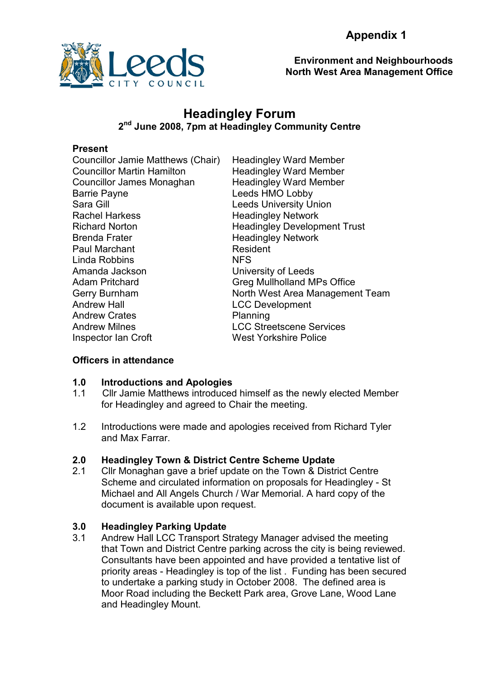

Environment and Neighbourhoods North West Area Management Office

# Headingley Forum 2<sup>nd</sup> June 2008, 7pm at Headingley Community Centre

### Present

Councillor Jamie Matthews (Chair) Headingley Ward Member Councillor Martin Hamilton Headingley Ward Member Councillor James Monaghan Barrie Payne Sara Gill **Sara Gill Contract Contract Contract Leeds University Union** Rachel Harkess Headingley Network Richard Norton **Headingley Development Trust** Brenda Frater **Headingley Network** Paul Marchant **Resident** Linda Robbins NFS Amanda Jackson University of Leeds Adam Pritchard Greg Mullholland MPs Office Gerry Burnham Andrew Hall Andrew Crates Andrew Milnes **Inspector Ian Croft** West Yorkshire Police

Headingley Ward Member Leeds HMO Lobby North West Area Management Team LCC Development Planning LCC Streetscene Services

# Officers in attendance

#### 1.0 Introductions and Apologies

- 1.1 Cllr Jamie Matthews introduced himself as the newly elected Member for Headingley and agreed to Chair the meeting.
- 1.2 Introductions were made and apologies received from Richard Tyler and Max Farrar.

#### 2.0 Headingley Town & District Centre Scheme Update

2.1 Cllr Monaghan gave a brief update on the Town & District Centre Scheme and circulated information on proposals for Headingley - St Michael and All Angels Church / War Memorial. A hard copy of the document is available upon request.

# 3.0 Headingley Parking Update

3.1 Andrew Hall LCC Transport Strategy Manager advised the meeting that Town and District Centre parking across the city is being reviewed. Consultants have been appointed and have provided a tentative list of priority areas - Headingley is top of the list . Funding has been secured to undertake a parking study in October 2008. The defined area is Moor Road including the Beckett Park area, Grove Lane, Wood Lane and Headingley Mount.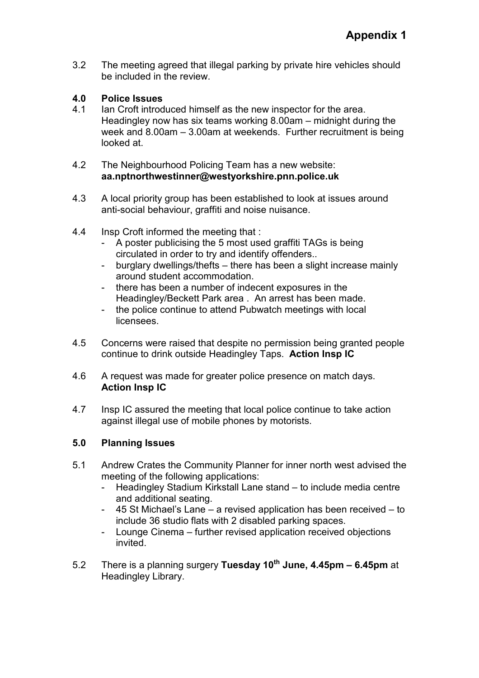3.2 The meeting agreed that illegal parking by private hire vehicles should be included in the review.

### 4.0 Police Issues

4.1 Ian Croft introduced himself as the new inspector for the area. Headingley now has six teams working 8.00am – midnight during the week and 8.00am – 3.00am at weekends. Further recruitment is being looked at.

### 4.2 The Neighbourhood Policing Team has a new website: aa.nptnorthwestinner@westyorkshire.pnn.police.uk

- 4.3 A local priority group has been established to look at issues around anti-social behaviour, graffiti and noise nuisance.
- 4.4 Insp Croft informed the meeting that :
	- A poster publicising the 5 most used graffiti TAGs is being circulated in order to try and identify offenders..
	- burglary dwellings/thefts there has been a slight increase mainly around student accommodation.
	- there has been a number of indecent exposures in the Headingley/Beckett Park area . An arrest has been made.
	- the police continue to attend Pubwatch meetings with local licensees.
- 4.5 Concerns were raised that despite no permission being granted people continue to drink outside Headingley Taps. Action Insp IC
- 4.6 A request was made for greater police presence on match days. Action Insp IC
- 4.7 Insp IC assured the meeting that local police continue to take action against illegal use of mobile phones by motorists.

# 5.0 Planning Issues

- 5.1 Andrew Crates the Community Planner for inner north west advised the meeting of the following applications:
	- Headingley Stadium Kirkstall Lane stand to include media centre and additional seating.
	- 45 St Michael's Lane a revised application has been received to include 36 studio flats with 2 disabled parking spaces.
	- Lounge Cinema further revised application received objections invited.
- 5.2 There is a planning surgery Tuesday  $10^{th}$  June, 4.45pm 6.45pm at Headingley Library.